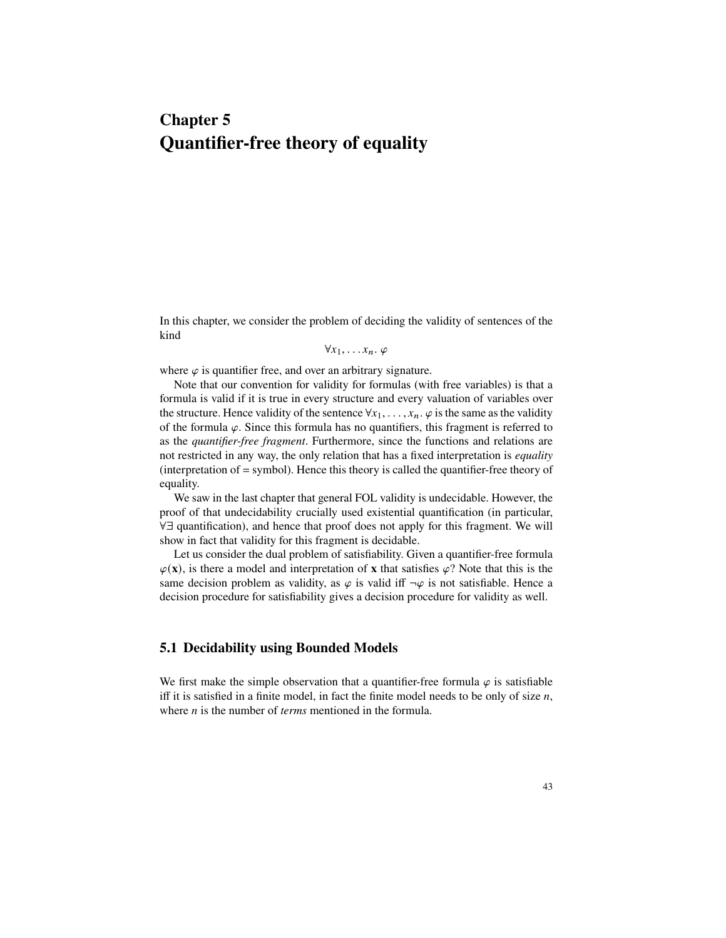# **Chapter 5 Quantifier-free theory of equality**

In this chapter, we consider the problem of deciding the validity of sentences of the kind

 $\forall x_1, \ldots, x_n$ .  $\varphi$ 

where  $\varphi$  is quantifier free, and over an arbitrary signature.

Note that our convention for validity for formulas (with free variables) is that a formula is valid if it is true in every structure and every valuation of variables over the structure. Hence validity of the sentence  $\forall x_1, \ldots, x_n$ .  $\varphi$  is the same as the validity of the formula  $\varphi$ . Since this formula has no quantifiers, this fragment is referred to as the *quantifier-free fragment*. Furthermore, since the functions and relations are not restricted in any way, the only relation that has a fixed interpretation is *equality* (interpretation of = symbol). Hence this theory is called the quantifier-free theory of equality.

We saw in the last chapter that general FOL validity is undecidable. However, the proof of that undecidability crucially used existential quantification (in particular, 89 quantification), and hence that proof does not apply for this fragment. We will show in fact that validity for this fragment is decidable.

Let us consider the dual problem of satisfiability. Given a quantifier-free formula  $\varphi(\mathbf{x})$ , is there a model and interpretation of **x** that satisfies  $\varphi$ ? Note that this is the same decision problem as validity, as  $\varphi$  is valid iff  $\neg \varphi$  is not satisfiable. Hence a decision procedure for satisfiability gives a decision procedure for validity as well.

# **5.1 Decidability using Bounded Models**

We first make the simple observation that a quantifier-free formula  $\varphi$  is satisfiable iff it is satisfied in a finite model, in fact the finite model needs to be only of size  $n$ , where  $n$  is the number of *terms* mentioned in the formula.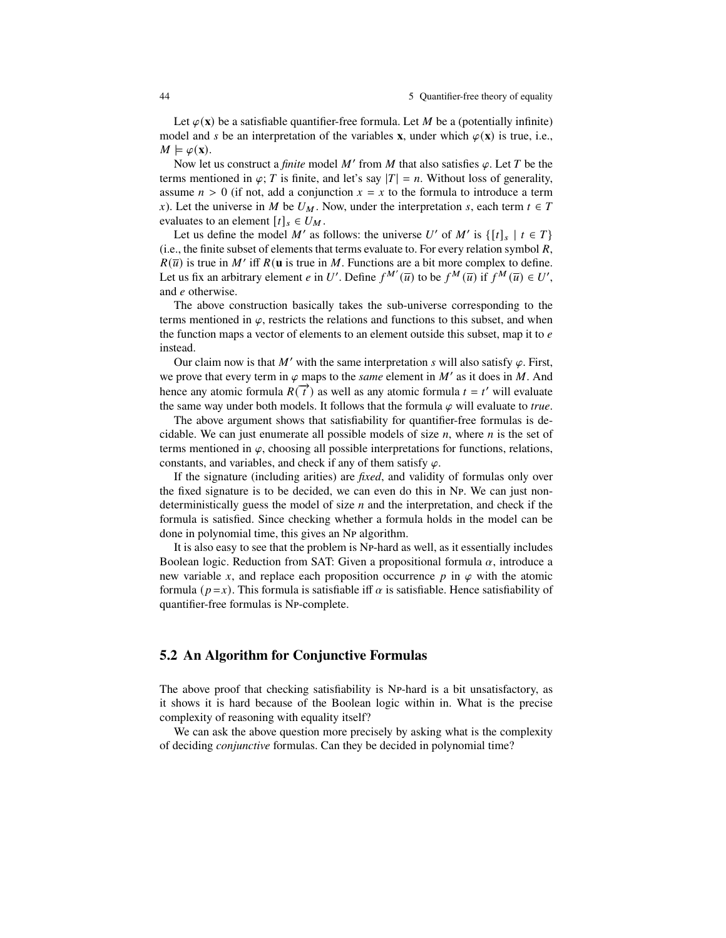Let  $\varphi(\mathbf{x})$  be a satisfiable quantifier-free formula. Let M be a (potentially infinite) model and s be an interpretation of the variables **x**, under which  $\varphi(\mathbf{x})$  is true, i.e.,  $M \models \varphi(\mathbf{x}).$ 

Now let us construct a *finite* model M' from M that also satisfies  $\varphi$ . Let T be the terms mentioned in  $\varphi$ ; T is finite, and let's say  $|T| = n$ . Without loss of generality, assume  $n > 0$  (if not, add a conjunction  $x = x$  to the formula to introduce a term x). Let the universe in M be  $U_M$ . Now, under the interpretation s, each term  $t \in T$ evaluates to an element  $[t]_s \in U_M$ .

Let us define the model M' as follows: the universe U' of M' is  $\{ [t]_s \mid t \in T \}$  $(i.e., the finite subset of elements that terms evaluate to. For every relation symbol  $R$ ,$  $R(\overline{u})$  is true in M' iff  $R(u)$  is true in M. Functions are a bit more complex to define. Let us fix an arbitrary element *e* in U'. Define  $f^{M'}(\overline{u})$  to be  $f^{M}(\overline{u})$  if  $f^{M}(\overline{u}) \in U'$ , and  $e$  otherwise.

The above construction basically takes the sub-universe corresponding to the terms mentioned in  $\varphi$ , restricts the relations and functions to this subset, and when the function maps a vector of elements to an element outside this subset, map it to  $e$ instead.

Our claim now is that M' with the same interpretation s will also satisfy  $\varphi$ . First, we prove that every term in  $\varphi$  maps to the *same* element in  $M'$  as it does in  $M$ . And hence any atomic formula  $R(\vec{t})$  as well as any atomic formula  $t = t'$  will evaluate the same way under both models. It follows that the formula  $\varphi$  will evaluate to *true*.

The above argument shows that satisfiability for quantifier-free formulas is decidable. We can just enumerate all possible models of size  $n$ , where  $n$  is the set of terms mentioned in  $\varphi$ , choosing all possible interpretations for functions, relations, constants, and variables, and check if any of them satisfy  $\varphi$ .

If the signature (including arities) are *fixed*, and validity of formulas only over the fixed signature is to be decided, we can even do this in Np. We can just nondeterministically guess the model of size  $n$  and the interpretation, and check if the formula is satisfied. Since checking whether a formula holds in the model can be done in polynomial time, this gives an NP algorithm.

It is also easy to see that the problem is NP-hard as well, as it essentially includes Boolean logic. Reduction from SAT: Given a propositional formula  $\alpha$ , introduce a new variable x, and replace each proposition occurrence  $p$  in  $\varphi$  with the atomic formula ( $p=x$ ). This formula is satisfiable iff  $\alpha$  is satisfiable. Hence satisfiability of quantifier-free formulas is NP-complete.

## **5.2 An Algorithm for Conjunctive Formulas**

The above proof that checking satisfiability is NP-hard is a bit unsatisfactory, as it shows it is hard because of the Boolean logic within in. What is the precise complexity of reasoning with equality itself?

We can ask the above question more precisely by asking what is the complexity of deciding *conjunctive* formulas. Can they be decided in polynomial time?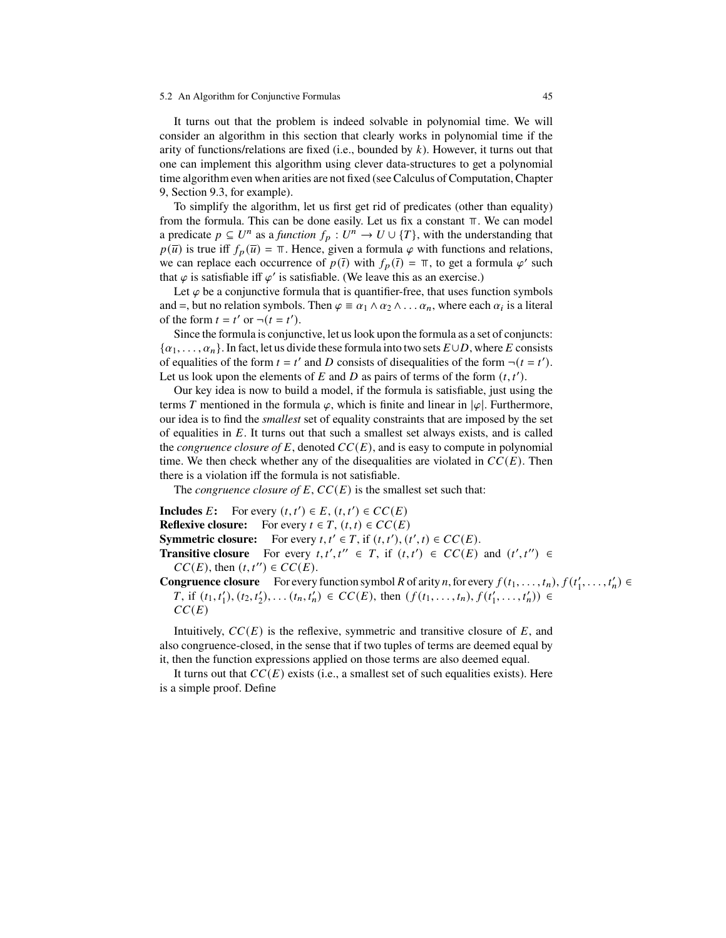#### 5.2 An Algorithm for Conjunctive Formulas 45

It turns out that the problem is indeed solvable in polynomial time. We will consider an algorithm in this section that clearly works in polynomial time if the arity of functions/relations are fixed (i.e., bounded by  $k$ ). However, it turns out that one can implement this algorithm using clever data-structures to get a polynomial time algorithm even when arities are not fixed (see Calculus of Computation, Chapter 9, Section 9.3, for example).

To simplify the algorithm, let us first get rid of predicates (other than equality) from the formula. This can be done easily. Let us fix a constant  $\pi$ . We can model a predicate  $p \subseteq U^n$  as a *function*  $f_p : U^n \to U \cup \{T\}$ , with the understanding that  $p(\overline{u})$  is true iff  $f_p(\overline{u}) = \pi$ . Hence, given a formula  $\varphi$  with functions and relations, we can replace each occurrence of  $p(\bar{t})$  with  $f_p(\bar{t}) = \pi$ , to get a formula  $\varphi'$  such that  $\varphi$  is satisfiable iff  $\varphi'$  is satisfiable. (We leave this as an exercise.)

Let  $\varphi$  be a conjunctive formula that is quantifier-free, that uses function symbols and =, but no relation symbols. Then  $\varphi = \alpha_1 \wedge \alpha_2 \wedge \ldots \alpha_n$ , where each  $\alpha_i$  is a literal of the form  $t = t'$  or  $\neg (t = t')$ .

Since the formula is conjunctive, let us look upon the formula as a set of conjuncts:  $\{\alpha_1,\ldots,\alpha_n\}$ . In fact, let us divide these formula into two sets  $E \cup D$ , where E consists of equalities of the form  $t = t'$  and D consists of disequalities of the form  $\neg(t = t')$ . Let us look upon the elements of  $E$  and  $D$  as pairs of terms of the form  $(t, t')$ .

Our key idea is now to build a model, if the formula is satisfiable, just using the terms T mentioned in the formula  $\varphi$ , which is finite and linear in  $|\varphi|$ . Furthermore, our idea is to find the *smallest* set of equality constraints that are imposed by the set of equalities in  $E$ . It turns out that such a smallest set always exists, and is called the *congruence closure of*  $E$ , denoted  $CC(E)$ , and is easy to compute in polynomial time. We then check whether any of the disequalities are violated in  $CC(E)$ . Then there is a violation iff the formula is not satisfiable.

The *congruence closure of*  $E$ ,  $CC(E)$  is the smallest set such that:

**Includes** *E*: For every  $(t, t') \in E$ ,  $(t, t') \in CC(E)$ **Reflexive closure:** For every  $t \in T$ ,  $(t, t) \in CC(E)$ **Symmetric closure:** For every  $t, t' \in T$ , if  $(t, t'), (t', t) \in CC(E)$ . **Transitive closure** For every  $t, t', t'' \in T$ , if  $(t, t') \in CC(E)$  and  $(t', t'') \in$  $CC(E)$ , then  $(t, t'') \in CC(E)$ . **Congruence closure** For every function symbol R of arity n, for every  $f(t_1, \ldots, t_n)$ ,  $f(t'_1, \ldots, t'_n) \in$  $T$ , if  $(t_1, t'_1), (t_2, t'_2), \ldots (t_n, t'_n) \in CC(E)$ , then  $(f(t_1, \ldots, t_n), f(t'_1, \ldots, t'_n)) \in$ 

 $CC(E)$ 

Intuitively,  $CC(E)$  is the reflexive, symmetric and transitive closure of  $E$ , and also congruence-closed, in the sense that if two tuples of terms are deemed equal by it, then the function expressions applied on those terms are also deemed equal.

It turns out that  $CC(E)$  exists (i.e., a smallest set of such equalities exists). Here is a simple proof. Define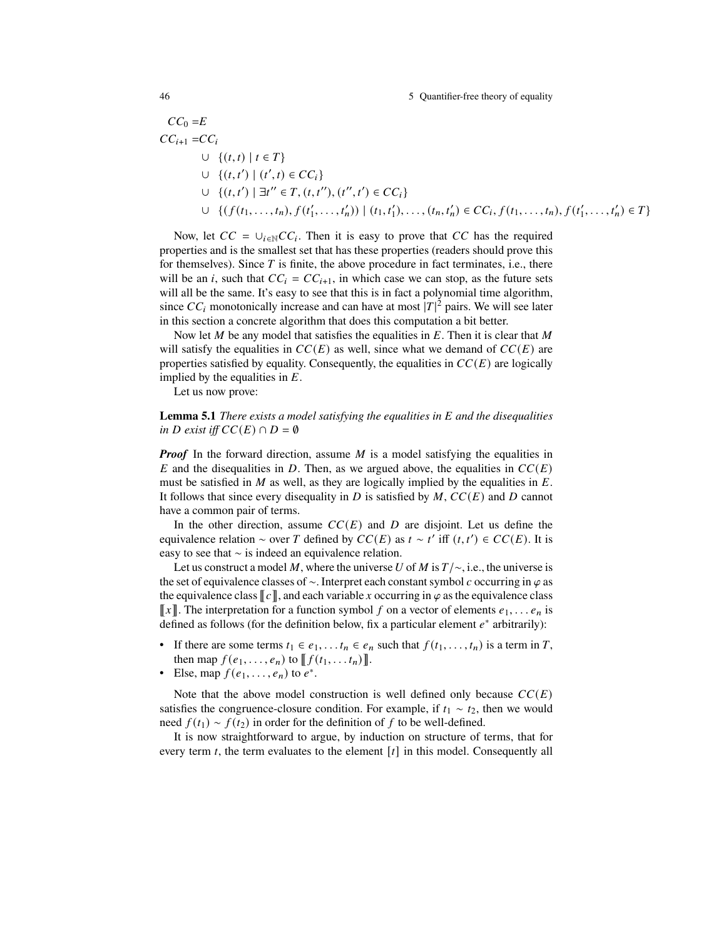46 5 Quantifier-free theory of equality

$$
CC_0 = E
$$
  
\n
$$
CC_{i+1} = CC_i
$$
  
\n
$$
\cup \{(t, t) | t \in T\}
$$
  
\n
$$
\cup \{(t, t') | (t', t) \in CC_i\}
$$
  
\n
$$
\cup \{(t, t') | \exists t'' \in T, (t, t''), (t'', t') \in CC_i\}
$$
  
\n
$$
\cup \{(f(t_1, ..., t_n), f(t'_1, ..., t'_n)) | (t_1, t'_1), ..., (t_n, t'_n) \in CC_i, f(t_1, ..., t_n), f(t'_1, ..., t'_n) \in T\}
$$

Now, let  $CC = \bigcup_{i \in \mathbb{N}} CC_i$ . Then it is easy to prove that CC has the required properties and is the smallest set that has these properties (readers should prove this for themselves). Since  $T$  is finite, the above procedure in fact terminates, i.e., there will be an *i*, such that  $CC_i = CC_{i+1}$ , in which case we can stop, as the future sets will all be the same. It's easy to see that this is in fact a polynomial time algorithm, since  $CC_i$  monotonically increase and can have at most  $|T|^2$  pairs. We will see later in this section a concrete algorithm that does this computation a bit better.

Now let  $M$  be any model that satisfies the equalities in  $E$ . Then it is clear that  $M$ will satisfy the equalities in  $CC(E)$  as well, since what we demand of  $CC(E)$  are properties satisfied by equality. Consequently, the equalities in  $CC(E)$  are logically implied by the equalities in  $E$ .

Let us now prove:

## **Lemma 5.1** *There exists a model satisfying the equalities in* E and the disequalities *in D* exist iff  $CC(E) \cap D = \emptyset$

*Proof* In the forward direction, assume  $M$  is a model satisfying the equalities in E and the disequalities in D. Then, as we argued above, the equalities in  $CC(E)$ must be satisfied in  $M$  as well, as they are logically implied by the equalities in  $E$ . It follows that since every disequality in D is satisfied by  $M$ ,  $CC(E)$  and D cannot have a common pair of terms.

In the other direction, assume  $CC(E)$  and D are disjoint. Let us define the equivalence relation  $\sim$  over T defined by  $CC(E)$  as  $t \sim t'$  iff  $(t, t') \in CC(E)$ . It is easy to see that  $\sim$  is indeed an equivalence relation.

Let us construct a model M, where the universe U of M is  $T/\sim$ , i.e., the universe is the set of equivalence classes of  $\sim$ . Interpret each constant symbol c occurring in  $\varphi$  as the equivalence class  $\llbracket c \rrbracket$ , and each variable x occurring in  $\varphi$  as the equivalence class  $\llbracket x \rrbracket$ . The interpretation for a function symbol f on a vector of elements  $e_1, \ldots e_n$  is defined as follows (for the definition below, fix a particular element  $e^*$  arbitrarily):

- If there are some terms  $t_1 \in e_1, \ldots, t_n \in e_n$  such that  $f(t_1, \ldots, t_n)$  is a term in T, then map  $f(e_1, ..., e_n)$  to  $\llbracket f(t_1, ..., t_n) \rrbracket$ .
- Else, map  $f(e_1, \ldots, e_n)$  to  $e^*$ .

Note that the above model construction is well defined only because  $CC(E)$ satisfies the congruence-closure condition. For example, if  $t_1 \sim t_2$ , then we would need  $f(t_1) \sim f(t_2)$  in order for the definition of f to be well-defined.

It is now straightforward to argue, by induction on structure of terms, that for every term  $t$ , the term evaluates to the element  $[t]$  in this model. Consequently all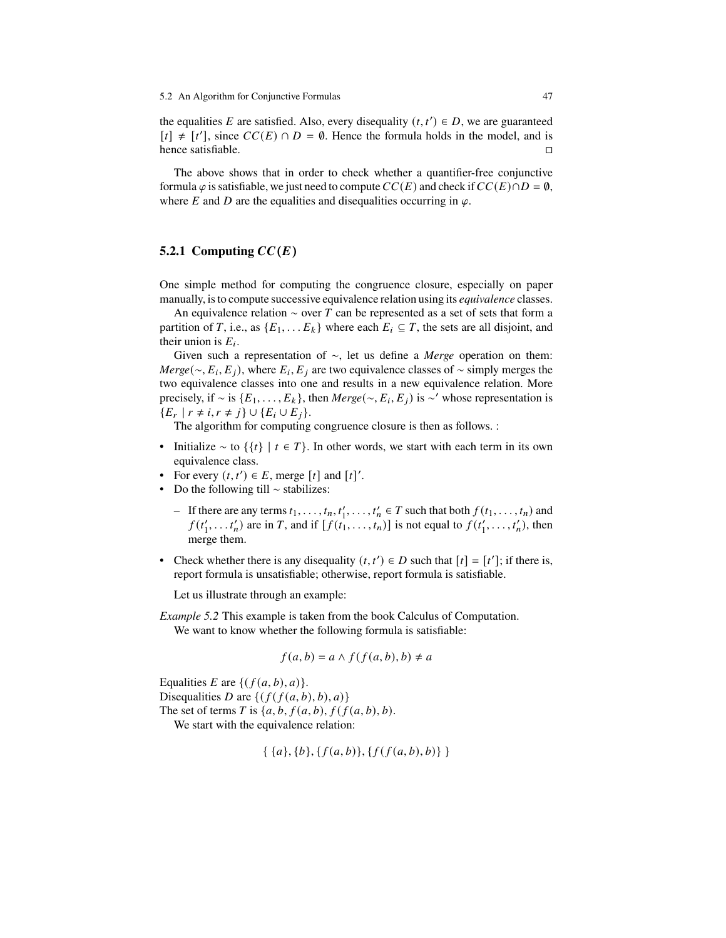the equalities E are satisfied. Also, every disequality  $(t, t') \in D$ , we are guaranteed  $[t] \neq [t']$ , since  $CC(E) \cap D = \emptyset$ . Hence the formula holds in the model, and is hence satisfiable.  $\Box$ 

The above shows that in order to check whether a quantifier-free conjunctive formula  $\varphi$  is satisfiable, we just need to compute  $CC(E)$  and check if  $CC(E) \cap D = \emptyset$ , where E and D are the equalities and disequalities occurring in  $\varphi$ .

## **5.2.1 Computing**  $CC(E)$

One simple method for computing the congruence closure, especially on paper manually, is to compute successive equivalence relation using its *equivalence* classes.

An equivalence relation  $\sim$  over T can be represented as a set of sets that form a partition of T, i.e., as  $\{E_1, \ldots E_k\}$  where each  $E_i \subseteq T$ , the sets are all disjoint, and their union is  $E_i$ .

Given such a representation of  $\sim$ , let us define a *Merge* operation on them: *Merge*( $\sim$ ,  $E_i$ ,  $E_j$ ), where  $E_i$ ,  $E_j$  are two equivalence classes of  $\sim$  simply merges the two equivalence classes into one and results in a new equivalence relation. More precisely, if  $\sim$  is  $\{E_1, \ldots, E_k\}$ , then *Merge*( $\sim$ ,  $E_i$ ,  $E_j$ ) is  $\sim$ ' whose representation is  ${E_r | r \neq i, r \neq j} \cup {E_i \cup E_j}.$ 

The algorithm for computing congruence closure is then as follows. :

- Initialize  $\sim$  to  $\{\{t\} \mid t \in T\}$ . In other words, we start with each term in its own equivalence class.
- For every  $(t, t') \in E$ , merge  $[t]$  and  $[t]'$ .
- Do the following till  $\sim$  stabilizes:
	- If there are any terms  $t_1, \ldots, t_n, t'_1, \ldots, t'_n \in T$  such that both  $f(t_1, \ldots, t_n)$  and  $f(t'_1, \ldots, t'_n)$  are in T, and if  $[f(t_1, \ldots, t_n)]$  is not equal to  $f(t'_1, \ldots, t'_n)$ , then merge them.
- Check whether there is any disequality  $(t, t') \in D$  such that  $[t] = [t']$ ; if there is, report formula is unsatisfiable; otherwise, report formula is satisfiable.

Let us illustrate through an example:

*Example 5.2* This example is taken from the book Calculus of Computation. We want to know whether the following formula is satisfiable:

$$
f(a,b) = a \land f(f(a,b),b) \neq a
$$

Equalities *E* are  $\{(f(a, b), a)\}.$ 

Disequalities D are  $\{(f(f(a,b),b),a)\}\)$ 

The set of terms T is  $\{a, b, f(a, b), f(f(a, b), b)\}$ .

We start with the equivalence relation:

$$
\{ \{a\}, \{b\}, \{f(a,b)\}, \{f(f(a,b),b)\} \}
$$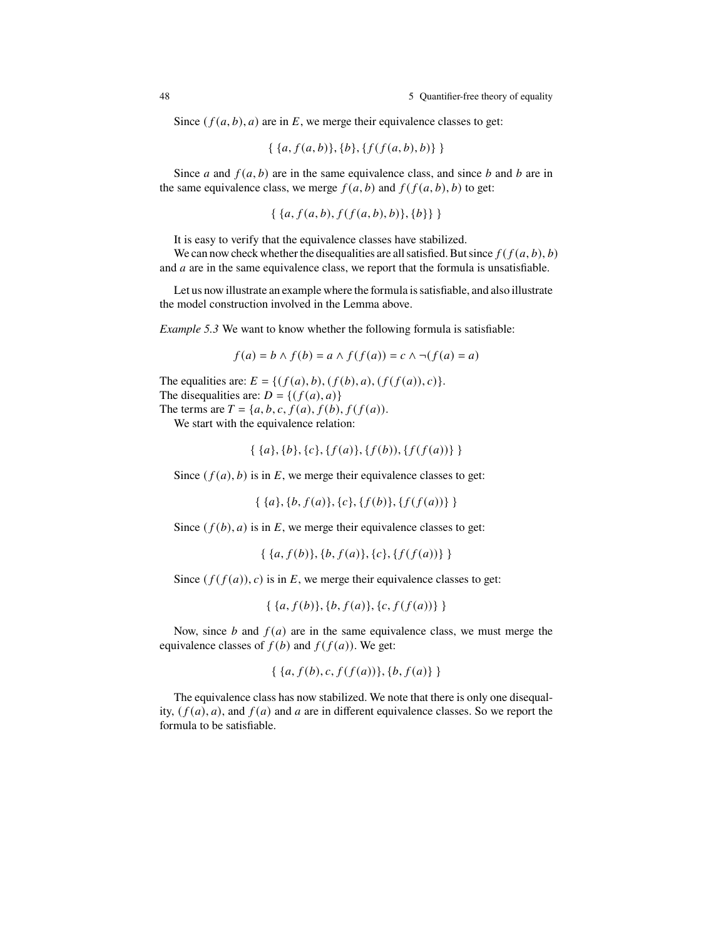Since  $(f(a, b), a)$  are in  $E$ , we merge their equivalence classes to get:

$$
\{ \{a, f(a,b)\}, \{b\}, \{f(f(a,b),b)\} \}
$$

Since  $a$  and  $f(a, b)$  are in the same equivalence class, and since  $b$  and  $b$  are in the same equivalence class, we merge  $f(a, b)$  and  $f(f(a, b), b)$  to get:

$$
\{ \{a, f(a,b), f(f(a,b),b)\}, \{b\} \} \}
$$

It is easy to verify that the equivalence classes have stabilized.

We can now check whether the disequalities are all satisfied. But since  $f(f(a, b), b)$ and  $a$  are in the same equivalence class, we report that the formula is unsatisfiable.

Let us now illustrate an example where the formula is satisfiable, and also illustrate the model construction involved in the Lemma above.

*Example 5.3* We want to know whether the following formula is satisfiable:

$$
f(a) = b \land f(b) = a \land f(f(a)) = c \land \neg(f(a) = a)
$$

The equalities are:  $E = \{ (f(a), b), (f(b), a), (f(f(a)), c) \}.$ The disequalities are:  $D = \{(f(a), a)\}\$ 

The terms are  $T = \{a, b, c, f(a), f(b), f(f(a))\}.$ 

We start with the equivalence relation:

$$
\{ \{a\}, \{b\}, \{c\}, \{f(a)\}, \{f(b)\}, \{f(f(a))\} \}
$$

Since  $(f(a), b)$  is in  $E$ , we merge their equivalence classes to get:

 $\{ \{a\}, \{b, f(a)\}, \{c\}, \{f(b)\}, \{f(f(a))\} \}$ 

Since  $(f(b), a)$  is in  $E$ , we merge their equivalence classes to get:

$$
\{ \{a, f(b)\}, \{b, f(a)\}, \{c\}, \{f(f(a))\} \}
$$

Since  $(f(f(a)), c)$  is in  $E$ , we merge their equivalence classes to get:

$$
\{ \{a, f(b)\}, \{b, f(a)\}, \{c, f(f(a))\} \}
$$

Now, since  $b$  and  $f(a)$  are in the same equivalence class, we must merge the equivalence classes of  $f(b)$  and  $f(f(a))$ . We get:

$$
\{ \{a, f(b), c, f(f(a))\}, \{b, f(a)\} \}
$$

The equivalence class has now stabilized. We note that there is only one disequality,  $(f(a), a)$ , and  $f(a)$  and a are in different equivalence classes. So we report the formula to be satisfiable.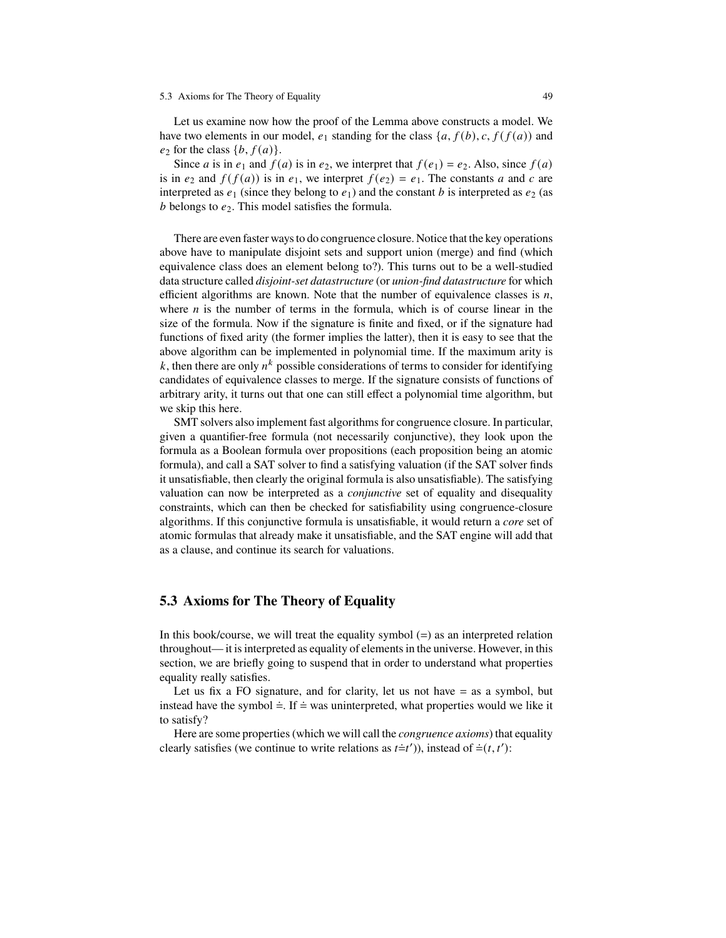#### 5.3 Axioms for The Theory of Equality 49

Let us examine now how the proof of the Lemma above constructs a model. We have two elements in our model,  $e_1$  standing for the class  $\{a, f(b), c, f(f(a))\}$  and  $e_2$  for the class  $\{b, f(a)\}.$ 

Since *a* is in  $e_1$  and  $f(a)$  is in  $e_2$ , we interpret that  $f(e_1) = e_2$ . Also, since  $f(a)$ is in  $e_2$  and  $f(f(a))$  is in  $e_1$ , we interpret  $f(e_2) = e_1$ . The constants a and c are interpreted as  $e_1$  (since they belong to  $e_1$ ) and the constant b is interpreted as  $e_2$  (as  $b$  belongs to  $e_2$ . This model satisfies the formula.

There are even faster ways to do congruence closure. Notice that the key operations above have to manipulate disjoint sets and support union (merge) and find (which equivalence class does an element belong to?). This turns out to be a well-studied data structure called *disjoint-set datastructure* (or *union-find datastructure* for which efficient algorithms are known. Note that the number of equivalence classes is  $n$ , where  $n$  is the number of terms in the formula, which is of course linear in the size of the formula. Now if the signature is finite and fixed, or if the signature had functions of fixed arity (the former implies the latter), then it is easy to see that the above algorithm can be implemented in polynomial time. If the maximum arity is k, then there are only  $n^k$  possible considerations of terms to consider for identifying candidates of equivalence classes to merge. If the signature consists of functions of arbitrary arity, it turns out that one can still effect a polynomial time algorithm, but we skip this here.

SMT solvers also implement fast algorithms for congruence closure. In particular, given a quantifier-free formula (not necessarily conjunctive), they look upon the formula as a Boolean formula over propositions (each proposition being an atomic formula), and call a SAT solver to find a satisfying valuation (if the SAT solver finds it unsatisfiable, then clearly the original formula is also unsatisfiable). The satisfying valuation can now be interpreted as a *conjunctive* set of equality and disequality constraints, which can then be checked for satisfiability using congruence-closure algorithms. If this conjunctive formula is unsatisfiable, it would return a *core* set of atomic formulas that already make it unsatisfiable, and the SAT engine will add that as a clause, and continue its search for valuations.

## **5.3 Axioms for The Theory of Equality**

In this book/course, we will treat the equality symbol  $(=)$  as an interpreted relation throughout— it is interpreted as equality of elements in the universe. However, in this section, we are briefly going to suspend that in order to understand what properties equality really satisfies.

Let us fix a FO signature, and for clarity, let us not have  $=$  as a symbol, but instead have the symbol  $\dot{=}$ . If  $\dot{=}$  was uninterpreted, what properties would we like it to satisfy?

Here are some properties (which we will call the *congruence axioms*) that equality clearly satisfies (we continue to write relations as  $t = t'$ )), instead of  $\dot{=} (t, t')$ :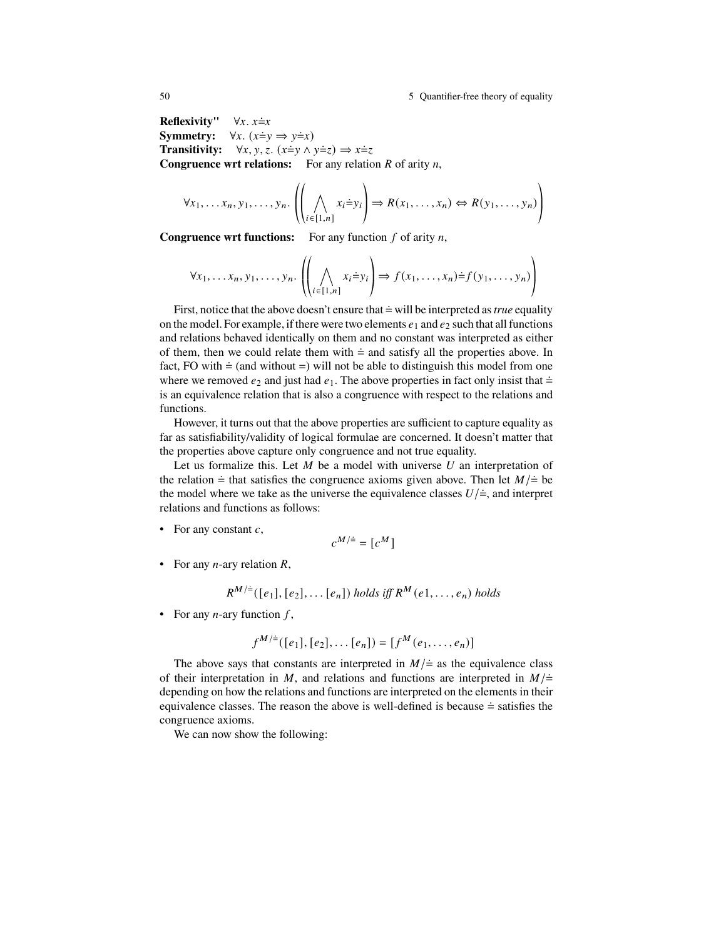50 5 Quantifier-free theory of equality

**Reflexivity''**  $\forall x. x \doteq x$ **Symmetry:**  $\forall x. (x \dot{=} y \Rightarrow y \dot{=} x)$ **Transitivity:**  $\forall x, y, z$ .  $(x \neq y \land y \neq z) \Rightarrow x \neq z$ **Congruence wrt relations:** For any relation  $R$  of arity  $n$ ,

$$
\forall x_1, \ldots x_n, y_1, \ldots, y_n. \left( \bigwedge_{i \in [1, n]} x_i \dot{=} y_i \right) \Rightarrow R(x_1, \ldots, x_n) \Leftrightarrow R(y_1, \ldots, y_n) \right)
$$

**Congruence wrt functions:** For any function  $f$  of arity  $n$ ,

$$
\forall x_1, \ldots, x_n, y_1, \ldots, y_n. \left( \bigwedge_{i \in [1, n]} x_i \doteq y_i \right) \Rightarrow f(x_1, \ldots, x_n) \doteq f(y_1, \ldots, y_n) \right)
$$

First, notice that the above doesn't ensure that  $\dot{=}$  will be interpreted as *true* equality on the model. For example, if there were two elements  $e_1$  and  $e_2$  such that all functions and relations behaved identically on them and no constant was interpreted as either of them, then we could relate them with  $\dot{=}$  and satisfy all the properties above. In fact, FO with  $\dot{=}$  (and without  $=$ ) will not be able to distinguish this model from one where we removed  $e_2$  and just had  $e_1$ . The above properties in fact only insist that  $\dot{=}$ is an equivalence relation that is also a congruence with respect to the relations and functions.

However, it turns out that the above properties are sufficient to capture equality as far as satisfiability/validity of logical formulae are concerned. It doesn't matter that the properties above capture only congruence and not true equality.

Let us formalize this. Let  $M$  be a model with universe  $U$  an interpretation of the relation  $\dot{=}$  that satisfies the congruence axioms given above. Then let  $M/\dot{=}$  be the model where we take as the universe the equivalence classes  $U/\dot{=}$ , and interpret relations and functions as follows:

• For any constant  $c$ ,

$$
c^{M/\dagger} = [c^M]
$$

• For any *n*-ary relation *,* 

$$
R^{M/\doteq}([e_1], [e_2], \ldots [e_n])
$$
 holds iff  $R^M(e_1, \ldots, e_n)$  holds

• For any *n*-ary function  $f$ ,

$$
f^{M/\doteq}([e_1],[e_2],\ldots [e_n])=[f^M(e_1,\ldots,e_n)]
$$

The above says that constants are interpreted in  $M/\doteq$  as the equivalence class of their interpretation in M, and relations and functions are interpreted in  $M/\dot{=}$ depending on how the relations and functions are interpreted on the elements in their equivalence classes. The reason the above is well-defined is because  $\dot{=}$  satisfies the congruence axioms.

We can now show the following: